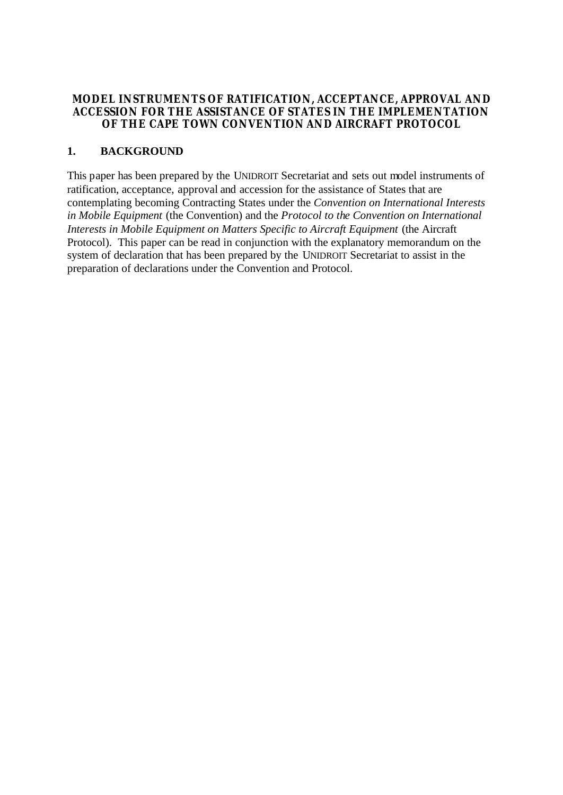## **MODEL INSTRUMENTS OF RATIFICATION, ACCEPTANCE, APPROVAL AND ACCESSION FOR THE ASSISTANCE OF STATES IN THE IMPLEMENTATION OF THE CAPE TOWN CONVENTION AND AIRCRAFT PROTOCOL**

## **1. BACKGROUND**

This paper has been prepared by the UNIDROIT Secretariat and sets out model instruments of ratification, acceptance, approval and accession for the assistance of States that are contemplating becoming Contracting States under the *Convention on International Interests in Mobile Equipment* (the Convention) and the *Protocol to the Convention on International Interests in Mobile Equipment on Matters Specific to Aircraft Equipment* (the Aircraft Protocol). This paper can be read in conjunction with the explanatory memorandum on the system of declaration that has been prepared by the UNIDROIT Secretariat to assist in the preparation of declarations under the Convention and Protocol.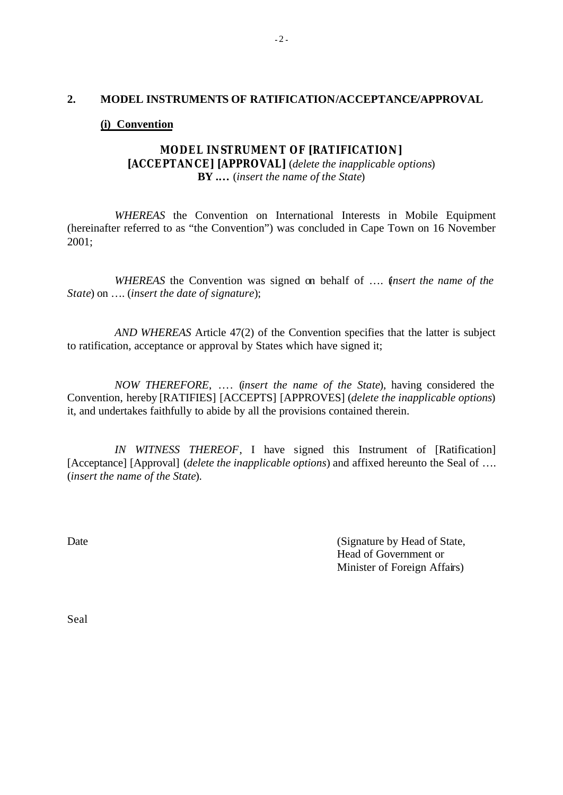### **2. MODEL INSTRUMENTS OF RATIFICATION/ACCEPTANCE/APPROVAL**

### **(i) Convention**

# **MODEL INSTRUMENT OF [RATIFICATION] [ACCEPTANCE] [APPROVAL]** (*delete the inapplicable options*) **BY .…** (*insert the name of the State*)

*WHEREAS* the Convention on International Interests in Mobile Equipment (hereinafter referred to as "the Convention") was concluded in Cape Town on 16 November 2001;

*WHEREAS* the Convention was signed on behalf of …. (*insert the name of the State*) on …. (*insert the date of signature*);

*AND WHEREAS* Article 47(2) of the Convention specifies that the latter is subject to ratification, acceptance or approval by States which have signed it;

*NOW THEREFORE*, …. (*insert the name of the State*), having considered the Convention, hereby [RATIFIES] [ACCEPTS] [APPROVES] (*delete the inapplicable options*) it, and undertakes faithfully to abide by all the provisions contained therein.

*IN WITNESS THEREOF*, I have signed this Instrument of [Ratification] [Acceptance] [Approval] (*delete the inapplicable options*) and affixed hereunto the Seal of .... (*insert the name of the State*).

Date Contract Contract Contract Contract Contract Contract Contract Contract Contract Contract Contract Contract Contract Contract Contract Contract Contract Contract Contract Contract Contract Contract Contract Contract C Head of Government or Minister of Foreign Affairs)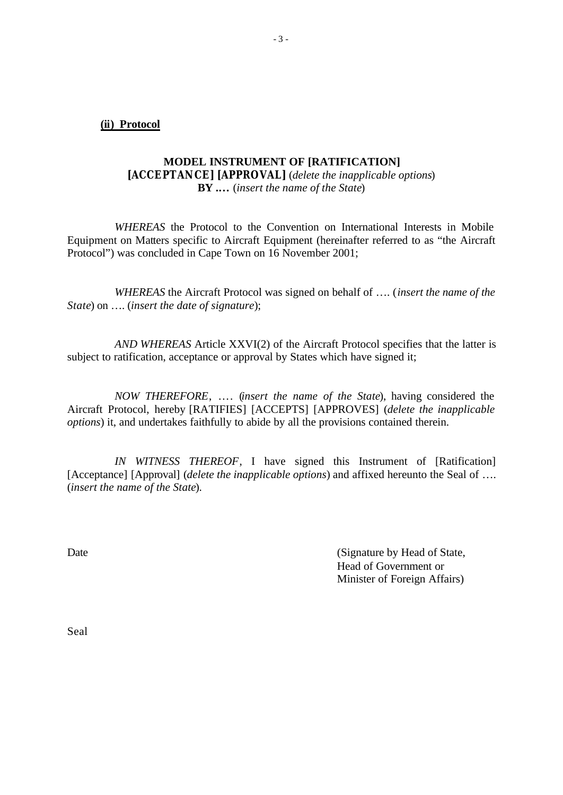**(ii) Protocol**

## **MODEL INSTRUMENT OF [RATIFICATION] [ACCEPTANCE] [APPROVAL]** (*delete the inapplicable options*) **BY .…** (*insert the name of the State*)

*WHEREAS* the Protocol to the Convention on International Interests in Mobile Equipment on Matters specific to Aircraft Equipment (hereinafter referred to as "the Aircraft Protocol") was concluded in Cape Town on 16 November 2001;

*WHEREAS* the Aircraft Protocol was signed on behalf of …. (*insert the name of the State*) on …. (*insert the date of signature*);

*AND WHEREAS* Article XXVI(2) of the Aircraft Protocol specifies that the latter is subject to ratification, acceptance or approval by States which have signed it;

*NOW THEREFORE*, …. (*insert the name of the State*), having considered the Aircraft Protocol, hereby [RATIFIES] [ACCEPTS] [APPROVES] (*delete the inapplicable options*) it, and undertakes faithfully to abide by all the provisions contained therein.

*IN WITNESS THEREOF*, I have signed this Instrument of [Ratification] [Acceptance] [Approval] (*delete the inapplicable options*) and affixed hereunto the Seal of .... (*insert the name of the State*).

Date (Signature by Head of State, Head of Government or Minister of Foreign Affairs)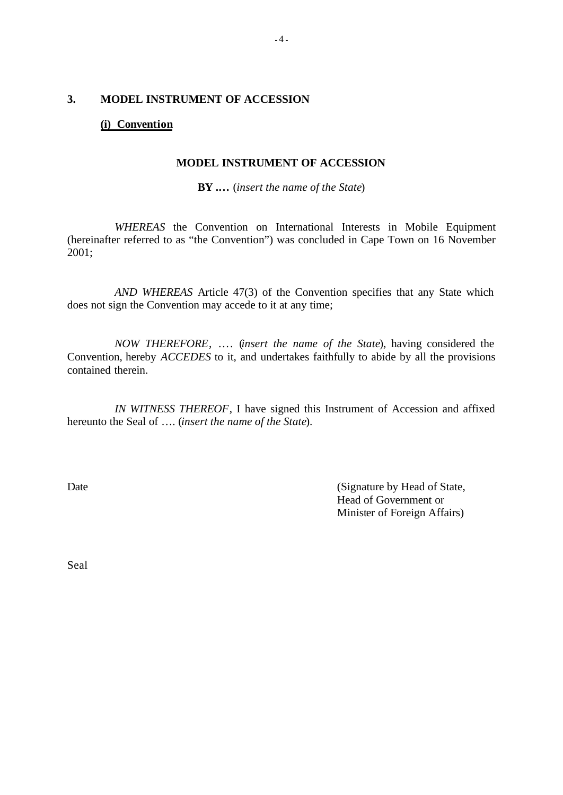## **3. MODEL INSTRUMENT OF ACCESSION**

## **(i) Convention**

#### **MODEL INSTRUMENT OF ACCESSION**

**BY .…** (*insert the name of the State*)

*WHEREAS* the Convention on International Interests in Mobile Equipment (hereinafter referred to as "the Convention") was concluded in Cape Town on 16 November 2001;

*AND WHEREAS* Article 47(3) of the Convention specifies that any State which does not sign the Convention may accede to it at any time;

*NOW THEREFORE*, …. (*insert the name of the State*), having considered the Convention, hereby *ACCEDES* to it, and undertakes faithfully to abide by all the provisions contained therein.

*IN WITNESS THEREOF*, I have signed this Instrument of Accession and affixed hereunto the Seal of …. (*insert the name of the State*).

Date (Signature by Head of State, Head of Government or Minister of Foreign Affairs)